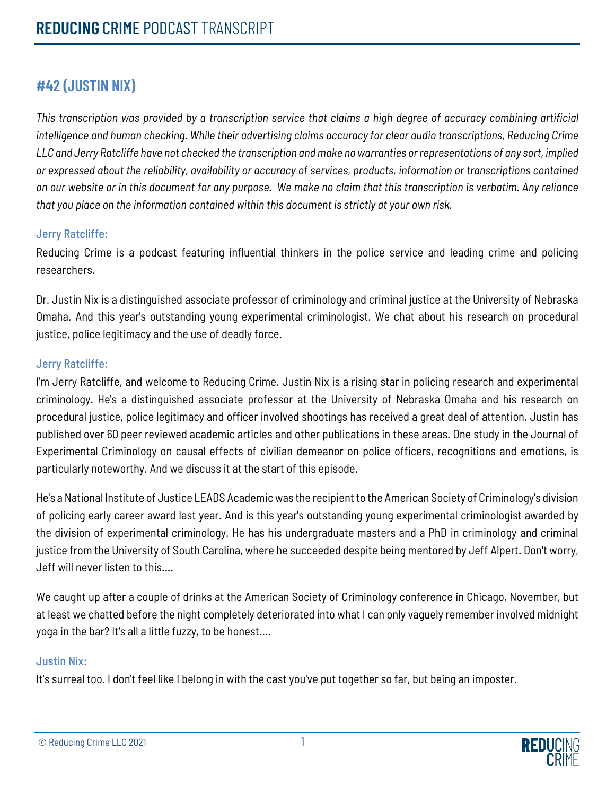## **#42 (JUSTIN NIX)**

*This transcription was provided by a transcription service that claims a high degree of accuracy combining artificial intelligence and human checking. While their advertising claims accuracy for clear audio transcriptions, Reducing Crime LLC and Jerry Ratcliffe have not checked the transcription and make no warranties or representations of any sort, implied or expressed about the reliability, availability or accuracy of services, products, information or transcriptions contained on our website or in this document for any purpose. We make no claim that this transcription is verbatim. Any reliance that you place on the information contained within this document is strictly at your own risk.*

#### Jerry Ratcliffe:

Reducing Crime is a podcast featuring influential thinkers in the police service and leading crime and policing researchers.

Dr. Justin Nix is a distinguished associate professor of criminology and criminal justice at the University of Nebraska Omaha. And this year's outstanding young experimental criminologist. We chat about his research on procedural justice, police legitimacy and the use of deadly force.

#### Jerry Ratcliffe:

I'm Jerry Ratcliffe, and welcome to Reducing Crime. Justin Nix is a rising star in policing research and experimental criminology. He's a distinguished associate professor at the University of Nebraska Omaha and his research on procedural justice, police legitimacy and officer involved shootings has received a great deal of attention. Justin has published over 60 peer reviewed academic articles and other publications in these areas. One study in the Journal of Experimental Criminology on causal effects of civilian demeanor on police officers, recognitions and emotions, is particularly noteworthy. And we discuss it at the start of this episode.

He's a National Institute of Justice LEADS Academic was the recipient to the American Society of Criminology's division of policing early career award last year. And is this year's outstanding young experimental criminologist awarded by the division of experimental criminology. He has his undergraduate masters and a PhD in criminology and criminal justice from the University of South Carolina, where he succeeded despite being mentored by Jeff Alpert. Don't worry, Jeff will never listen to this….

We caught up after a couple of drinks at the American Society of Criminology conference in Chicago, November, but at least we chatted before the night completely deteriorated into what I can only vaguely remember involved midnight yoga in the bar? It's all a little fuzzy, to be honest….

#### Justin Nix:

It's surreal too. I don't feel like I belong in with the cast you've put together so far, but being an imposter.

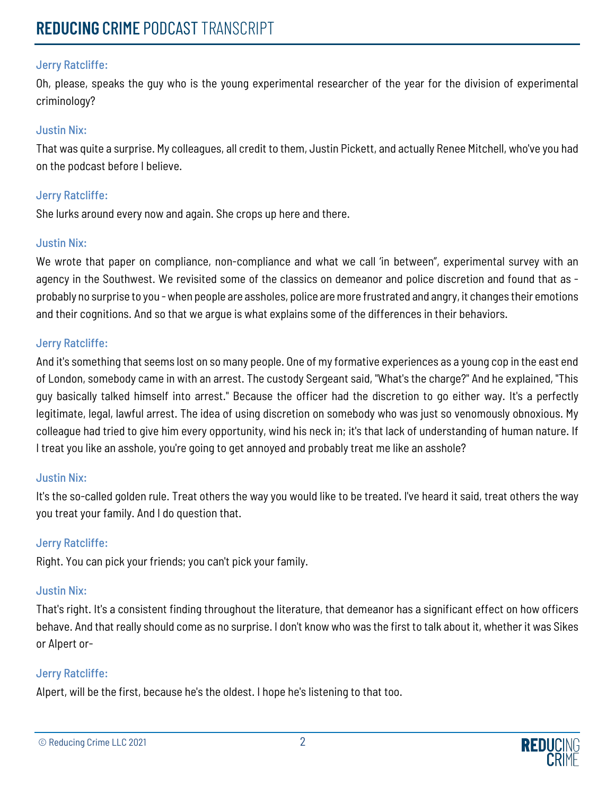Oh, please, speaks the guy who is the young experimental researcher of the year for the division of experimental criminology?

#### Justin Nix:

That was quite a surprise. My colleagues, all credit to them, Justin Pickett, and actually Renee Mitchell, who've you had on the podcast before I believe.

#### Jerry Ratcliffe:

She lurks around every now and again. She crops up here and there.

#### Justin Nix:

We wrote that paper on compliance, non-compliance and what we call 'in between", experimental survey with an agency in the Southwest. We revisited some of the classics on demeanor and police discretion and found that as probably no surprise to you -when people are assholes, police are more frustrated and angry, it changes their emotions and their cognitions. And so that we argue is what explains some of the differences in their behaviors.

#### Jerry Ratcliffe:

And it's something that seems lost on so many people. One of my formative experiences as a young cop in the east end of London, somebody came in with an arrest. The custody Sergeant said, "What's the charge?" And he explained, "This guy basically talked himself into arrest." Because the officer had the discretion to go either way. It's a perfectly legitimate, legal, lawful arrest. The idea of using discretion on somebody who was just so venomously obnoxious. My colleague had tried to give him every opportunity, wind his neck in; it's that lack of understanding of human nature. If I treat you like an asshole, you're going to get annoyed and probably treat me like an asshole?

#### Justin Nix:

It's the so-called golden rule. Treat others the way you would like to be treated. I've heard it said, treat others the way you treat your family. And I do question that.

## Jerry Ratcliffe:

Right. You can pick your friends; you can't pick your family.

## Justin Nix:

That's right. It's a consistent finding throughout the literature, that demeanor has a significant effect on how officers behave. And that really should come as no surprise. I don't know who was the first to talk about it, whether it was Sikes or Alpert or-

## Jerry Ratcliffe:

Alpert, will be the first, because he's the oldest. I hope he's listening to that too.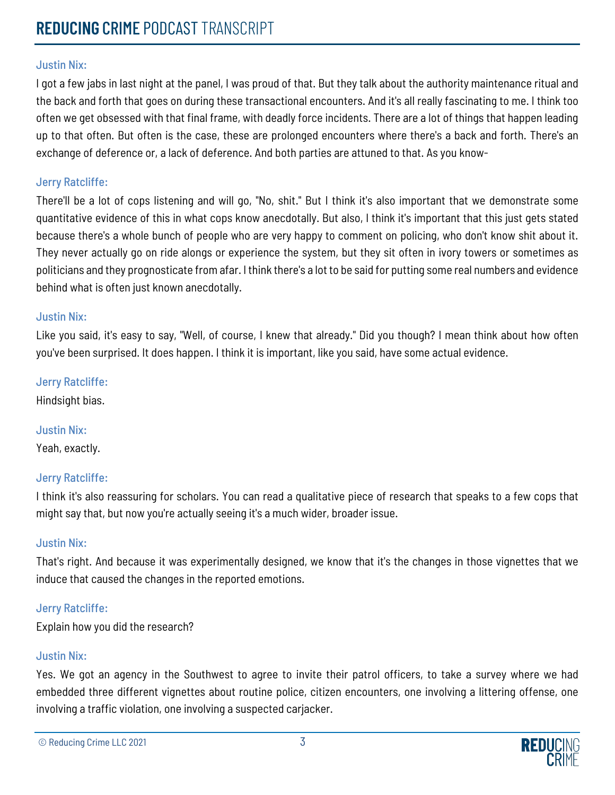I got a few jabs in last night at the panel, I was proud of that. But they talk about the authority maintenance ritual and the back and forth that goes on during these transactional encounters. And it's all really fascinating to me. I think too often we get obsessed with that final frame, with deadly force incidents. There are a lot of things that happen leading up to that often. But often is the case, these are prolonged encounters where there's a back and forth. There's an exchange of deference or, a lack of deference. And both parties are attuned to that. As you know-

#### Jerry Ratcliffe:

There'll be a lot of cops listening and will go, "No, shit." But I think it's also important that we demonstrate some quantitative evidence of this in what cops know anecdotally. But also, I think it's important that this just gets stated because there's a whole bunch of people who are very happy to comment on policing, who don't know shit about it. They never actually go on ride alongs or experience the system, but they sit often in ivory towers or sometimes as politicians and they prognosticate from afar. I think there's a lot to be said for putting some real numbers and evidence behind what is often just known anecdotally.

#### Justin Nix:

Like you said, it's easy to say, "Well, of course, I knew that already." Did you though? I mean think about how often you've been surprised. It does happen. I think it is important, like you said, have some actual evidence.

#### Jerry Ratcliffe:

Hindsight bias.

## Justin Nix:

Yeah, exactly.

#### Jerry Ratcliffe:

I think it's also reassuring for scholars. You can read a qualitative piece of research that speaks to a few cops that might say that, but now you're actually seeing it's a much wider, broader issue.

#### Justin Nix:

That's right. And because it was experimentally designed, we know that it's the changes in those vignettes that we induce that caused the changes in the reported emotions.

## Jerry Ratcliffe:

Explain how you did the research?

## Justin Nix:

Yes. We got an agency in the Southwest to agree to invite their patrol officers, to take a survey where we had embedded three different vignettes about routine police, citizen encounters, one involving a littering offense, one involving a traffic violation, one involving a suspected carjacker.

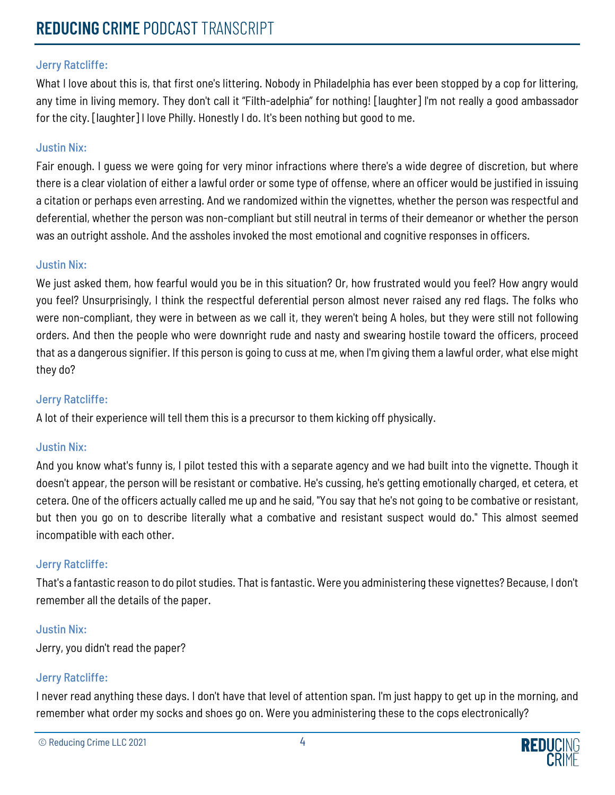What I love about this is, that first one's littering. Nobody in Philadelphia has ever been stopped by a cop for littering, any time in living memory. They don't call it "Filth-adelphia" for nothing! [laughter] I'm not really a good ambassador for the city. [laughter] I love Philly. Honestly I do. It's been nothing but good to me.

## Justin Nix:

Fair enough. I guess we were going for very minor infractions where there's a wide degree of discretion, but where there is a clear violation of either a lawful order or some type of offense, where an officer would be justified in issuing a citation or perhaps even arresting. And we randomized within the vignettes, whether the person was respectful and deferential, whether the person was non-compliant but still neutral in terms of their demeanor or whether the person was an outright asshole. And the assholes invoked the most emotional and cognitive responses in officers.

#### Justin Nix:

We just asked them, how fearful would you be in this situation? Or, how frustrated would you feel? How angry would you feel? Unsurprisingly, I think the respectful deferential person almost never raised any red flags. The folks who were non-compliant, they were in between as we call it, they weren't being A holes, but they were still not following orders. And then the people who were downright rude and nasty and swearing hostile toward the officers, proceed that as a dangerous signifier. If this person is going to cuss at me, when I'm giving them a lawful order, what else might they do?

#### Jerry Ratcliffe:

A lot of their experience will tell them this is a precursor to them kicking off physically.

#### Justin Nix:

And you know what's funny is, I pilot tested this with a separate agency and we had built into the vignette. Though it doesn't appear, the person will be resistant or combative. He's cussing, he's getting emotionally charged, et cetera, et cetera. One of the officers actually called me up and he said, "You say that he's not going to be combative or resistant, but then you go on to describe literally what a combative and resistant suspect would do." This almost seemed incompatible with each other.

## Jerry Ratcliffe:

That's a fantastic reason to do pilot studies. That is fantastic. Were you administering these vignettes? Because, I don't remember all the details of the paper.

#### Justin Nix:

Jerry, you didn't read the paper?

#### Jerry Ratcliffe:

I never read anything these days. I don't have that level of attention span. I'm just happy to get up in the morning, and remember what order my socks and shoes go on. Were you administering these to the cops electronically?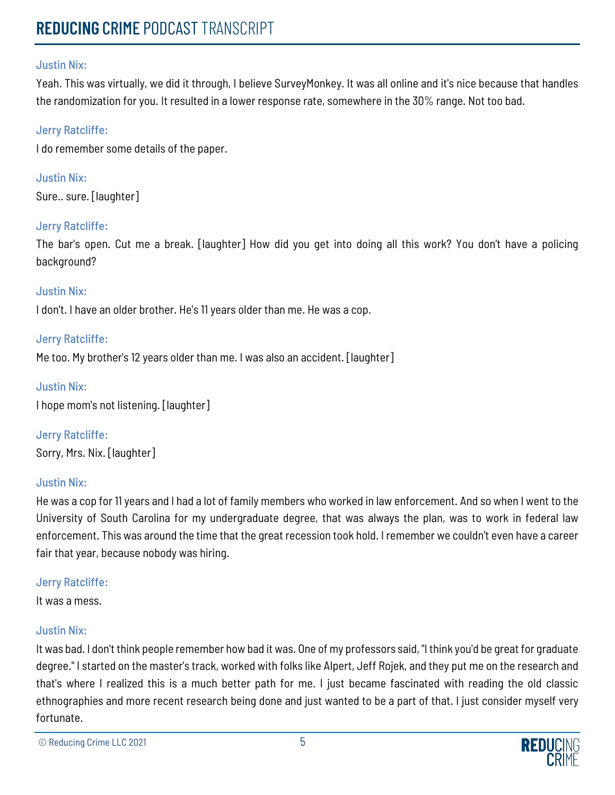Yeah. This was virtually, we did it through, I believe SurveyMonkey. It was all online and it's nice because that handles the randomization for you. It resulted in a lower response rate, somewhere in the 30% range. Not too bad.

#### Jerry Ratcliffe:

I do remember some details of the paper.

Justin Nix: Sure.. sure. [laughter]

#### Jerry Ratcliffe:

The bar's open. Cut me a break. [laughter] How did you get into doing all this work? You don't have a policing background?

#### Justin Nix:

I don't. I have an older brother. He's 11 years older than me. He was a cop.

#### Jerry Ratcliffe:

Me too. My brother's 12 years older than me. I was also an accident. [laughter]

#### Justin Nix:

I hope mom's not listening. [laughter]

Jerry Ratcliffe: Sorry, Mrs. Nix. [laughter]

#### Justin Nix:

He was a cop for 11 years and I had a lot of family members who worked in law enforcement. And so when I went to the University of South Carolina for my undergraduate degree, that was always the plan, was to work in federal law enforcement. This was around the time that the great recession took hold. I remember we couldn't even have a career fair that year, because nobody was hiring.

#### Jerry Ratcliffe:

It was a mess.

#### Justin Nix:

It was bad. I don't think people remember how bad it was. One of my professors said, "I think you'd be great for graduate degree." I started on the master's track, worked with folks like Alpert, Jeff Rojek, and they put me on the research and that's where I realized this is a much better path for me. I just became fascinated with reading the old classic ethnographies and more recent research being done and just wanted to be a part of that. I just consider myself very fortunate.

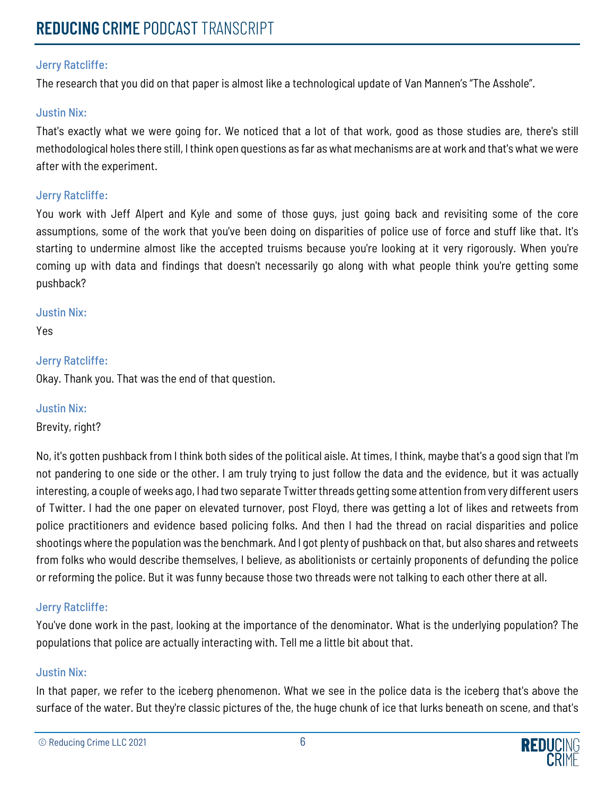The research that you did on that paper is almost like a technological update of Van Mannen's "The Asshole".

#### Justin Nix:

That's exactly what we were going for. We noticed that a lot of that work, good as those studies are, there's still methodological holes there still, I think open questions as far as what mechanisms are at work and that's what we were after with the experiment.

#### Jerry Ratcliffe:

You work with Jeff Alpert and Kyle and some of those guys, just going back and revisiting some of the core assumptions, some of the work that you've been doing on disparities of police use of force and stuff like that. It's starting to undermine almost like the accepted truisms because you're looking at it very rigorously. When you're coming up with data and findings that doesn't necessarily go along with what people think you're getting some pushback?

#### Justin Nix:

Yes

#### Jerry Ratcliffe:

Okay. Thank you. That was the end of that question.

#### Justin Nix:

Brevity, right?

No, it's gotten pushback from I think both sides of the political aisle. At times, I think, maybe that's a good sign that I'm not pandering to one side or the other. I am truly trying to just follow the data and the evidence, but it was actually interesting, a couple of weeks ago, I had two separate Twitter threads getting some attention from very different users of Twitter. I had the one paper on elevated turnover, post Floyd, there was getting a lot of likes and retweets from police practitioners and evidence based policing folks. And then I had the thread on racial disparities and police shootings where the population was the benchmark. And I got plenty of pushback on that, but also shares and retweets from folks who would describe themselves, I believe, as abolitionists or certainly proponents of defunding the police or reforming the police. But it was funny because those two threads were not talking to each other there at all.

## Jerry Ratcliffe:

You've done work in the past, looking at the importance of the denominator. What is the underlying population? The populations that police are actually interacting with. Tell me a little bit about that.

#### Justin Nix:

In that paper, we refer to the iceberg phenomenon. What we see in the police data is the iceberg that's above the surface of the water. But they're classic pictures of the, the huge chunk of ice that lurks beneath on scene, and that's

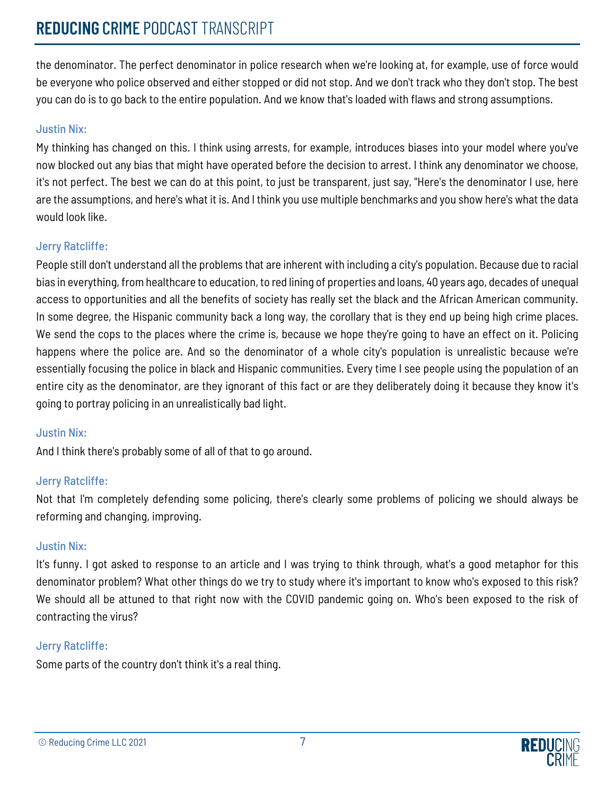# **REDUCING** CRIME PODCAST TRANSCRIPT

the denominator. The perfect denominator in police research when we're looking at, for example, use of force would be everyone who police observed and either stopped or did not stop. And we don't track who they don't stop. The best you can do is to go back to the entire population. And we know that's loaded with flaws and strong assumptions.

### Justin Nix:

My thinking has changed on this. I think using arrests, for example, introduces biases into your model where you've now blocked out any bias that might have operated before the decision to arrest. I think any denominator we choose, it's not perfect. The best we can do at this point, to just be transparent, just say, "Here's the denominator I use, here are the assumptions, and here's what it is. And I think you use multiple benchmarks and you show here's what the data would look like.

#### Jerry Ratcliffe:

People still don't understand all the problems that are inherent with including a city's population. Because due to racial bias in everything, from healthcare to education, to red lining of properties and loans, 40 years ago, decades of unequal access to opportunities and all the benefits of society has really set the black and the African American community. In some degree, the Hispanic community back a long way, the corollary that is they end up being high crime places. We send the cops to the places where the crime is, because we hope they're going to have an effect on it. Policing happens where the police are. And so the denominator of a whole city's population is unrealistic because we're essentially focusing the police in black and Hispanic communities. Every time I see people using the population of an entire city as the denominator, are they ignorant of this fact or are they deliberately doing it because they know it's going to portray policing in an unrealistically bad light.

## Justin Nix:

And I think there's probably some of all of that to go around.

## Jerry Ratcliffe:

Not that I'm completely defending some policing, there's clearly some problems of policing we should always be reforming and changing, improving.

#### Justin Nix:

It's funny. I got asked to response to an article and I was trying to think through, what's a good metaphor for this denominator problem? What other things do we try to study where it's important to know who's exposed to this risk? We should all be attuned to that right now with the COVID pandemic going on. Who's been exposed to the risk of contracting the virus?

#### Jerry Ratcliffe:

Some parts of the country don't think it's a real thing.

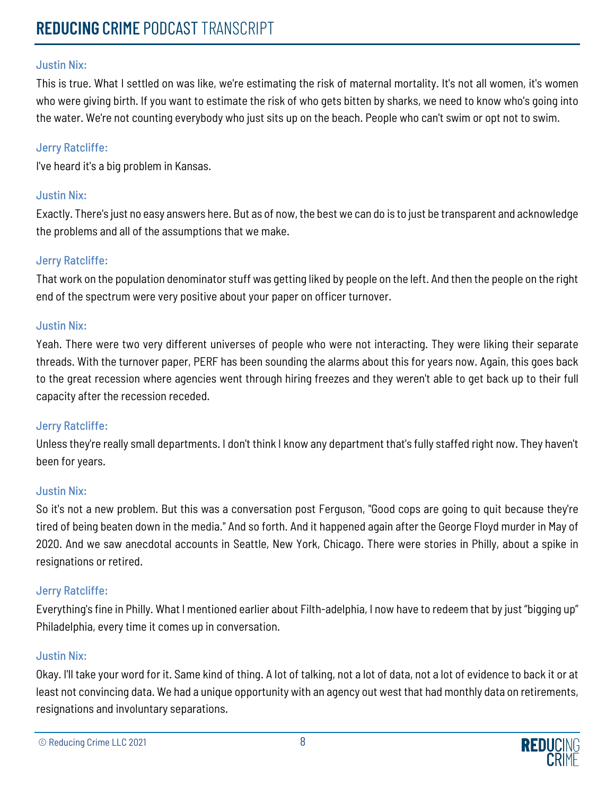This is true. What I settled on was like, we're estimating the risk of maternal mortality. It's not all women, it's women who were giving birth. If you want to estimate the risk of who gets bitten by sharks, we need to know who's going into the water. We're not counting everybody who just sits up on the beach. People who can't swim or opt not to swim.

## Jerry Ratcliffe:

I've heard it's a big problem in Kansas.

## Justin Nix:

Exactly. There's just no easy answers here. But as of now, the best we can do is to just be transparent and acknowledge the problems and all of the assumptions that we make.

## Jerry Ratcliffe:

That work on the population denominator stuff was getting liked by people on the left. And then the people on the right end of the spectrum were very positive about your paper on officer turnover.

## Justin Nix:

Yeah. There were two very different universes of people who were not interacting. They were liking their separate threads. With the turnover paper, PERF has been sounding the alarms about this for years now. Again, this goes back to the great recession where agencies went through hiring freezes and they weren't able to get back up to their full capacity after the recession receded.

## Jerry Ratcliffe:

Unless they're really small departments. I don't think I know any department that's fully staffed right now. They haven't been for years.

#### Justin Nix:

So it's not a new problem. But this was a conversation post Ferguson, "Good cops are going to quit because they're tired of being beaten down in the media." And so forth. And it happened again after the George Floyd murder in May of 2020. And we saw anecdotal accounts in Seattle, New York, Chicago. There were stories in Philly, about a spike in resignations or retired.

## Jerry Ratcliffe:

Everything's fine in Philly. What I mentioned earlier about Filth-adelphia, I now have to redeem that by just "bigging up" Philadelphia, every time it comes up in conversation.

## Justin Nix:

Okay. I'll take your word for it. Same kind of thing. A lot of talking, not a lot of data, not a lot of evidence to back it or at least not convincing data. We had a unique opportunity with an agency out west that had monthly data on retirements, resignations and involuntary separations.

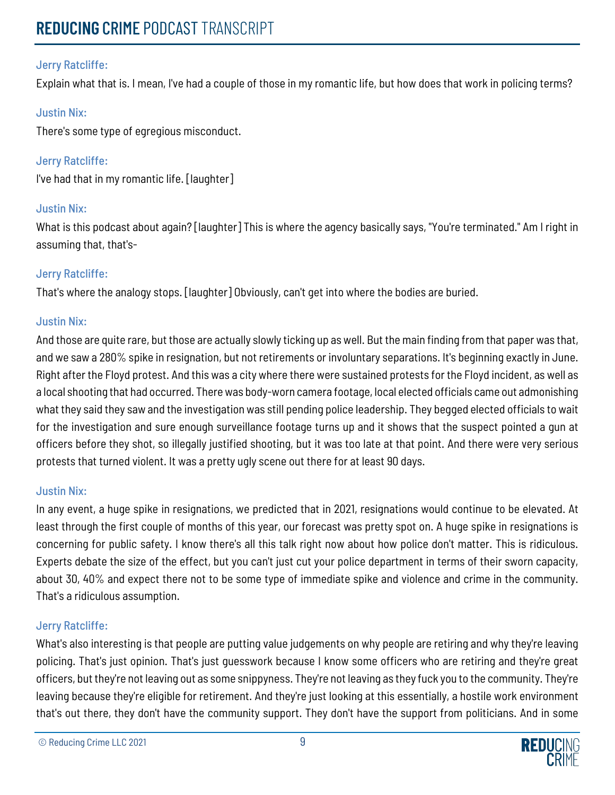Explain what that is. I mean, I've had a couple of those in my romantic life, but how does that work in policing terms?

## Justin Nix:

There's some type of egregious misconduct.

Jerry Ratcliffe: I've had that in my romantic life. [laughter]

## Justin Nix:

What is this podcast about again? [laughter] This is where the agency basically says, "You're terminated." Am I right in assuming that, that's-

## Jerry Ratcliffe:

That's where the analogy stops. [laughter] Obviously, can't get into where the bodies are buried.

## Justin Nix:

And those are quite rare, but those are actually slowly ticking up as well. But the main finding from that paper was that, and we saw a 280% spike in resignation, but not retirements or involuntary separations. It's beginning exactly in June. Right after the Floyd protest. And this was a city where there were sustained protests for the Floyd incident, as well as a local shooting that had occurred. There was body-worn camera footage, local elected officials came out admonishing what they said they saw and the investigation was still pending police leadership. They begged elected officials to wait for the investigation and sure enough surveillance footage turns up and it shows that the suspect pointed a gun at officers before they shot, so illegally justified shooting, but it was too late at that point. And there were very serious protests that turned violent. It was a pretty ugly scene out there for at least 90 days.

## Justin Nix:

In any event, a huge spike in resignations, we predicted that in 2021, resignations would continue to be elevated. At least through the first couple of months of this year, our forecast was pretty spot on. A huge spike in resignations is concerning for public safety. I know there's all this talk right now about how police don't matter. This is ridiculous. Experts debate the size of the effect, but you can't just cut your police department in terms of their sworn capacity, about 30, 40% and expect there not to be some type of immediate spike and violence and crime in the community. That's a ridiculous assumption.

## Jerry Ratcliffe:

What's also interesting is that people are putting value judgements on why people are retiring and why they're leaving policing. That's just opinion. That's just guesswork because I know some officers who are retiring and they're great officers, but they're not leaving out as some snippyness. They're not leaving as they fuck you to the community. They're leaving because they're eligible for retirement. And they're just looking at this essentially, a hostile work environment that's out there, they don't have the community support. They don't have the support from politicians. And in some

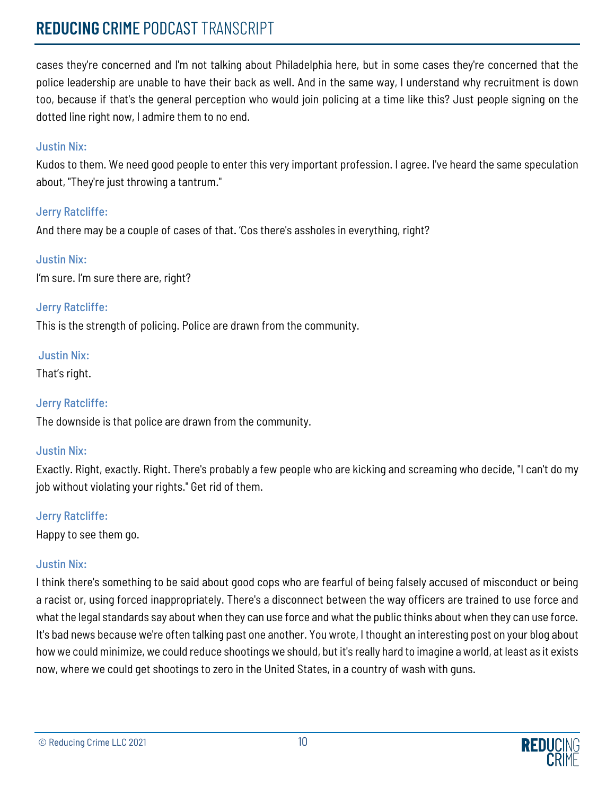# **REDUCING** CRIME PODCAST TRANSCRIPT

cases they're concerned and I'm not talking about Philadelphia here, but in some cases they're concerned that the police leadership are unable to have their back as well. And in the same way, I understand why recruitment is down too, because if that's the general perception who would join policing at a time like this? Just people signing on the dotted line right now, I admire them to no end.

### Justin Nix:

Kudos to them. We need good people to enter this very important profession. I agree. I've heard the same speculation about, "They're just throwing a tantrum."

#### Jerry Ratcliffe:

And there may be a couple of cases of that. 'Cos there's assholes in everything, right?

## Justin Nix:

I'm sure. I'm sure there are, right?

## Jerry Ratcliffe:

This is the strength of policing. Police are drawn from the community.

## Justin Nix:

That's right.

## Jerry Ratcliffe:

The downside is that police are drawn from the community.

## Justin Nix:

Exactly. Right, exactly. Right. There's probably a few people who are kicking and screaming who decide, "I can't do my job without violating your rights." Get rid of them.

## Jerry Ratcliffe:

Happy to see them go.

## Justin Nix:

I think there's something to be said about good cops who are fearful of being falsely accused of misconduct or being a racist or, using forced inappropriately. There's a disconnect between the way officers are trained to use force and what the legal standards say about when they can use force and what the public thinks about when they can use force. It's bad news because we're often talking past one another. You wrote, I thought an interesting post on your blog about how we could minimize, we could reduce shootings we should, but it's really hard to imagine a world, at least as it exists now, where we could get shootings to zero in the United States, in a country of wash with guns.

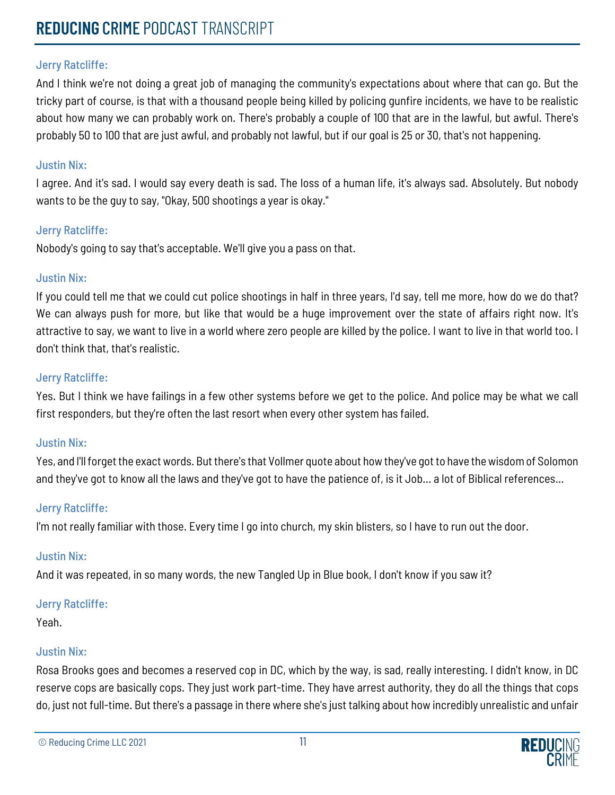And I think we're not doing a great job of managing the community's expectations about where that can go. But the tricky part of course, is that with a thousand people being killed by policing gunfire incidents, we have to be realistic about how many we can probably work on. There's probably a couple of 100 that are in the lawful, but awful. There's probably 50 to 100 that are just awful, and probably not lawful, but if our goal is 25 or 30, that's not happening.

#### Justin Nix:

I agree. And it's sad. I would say every death is sad. The loss of a human life, it's always sad. Absolutely. But nobody wants to be the guy to say, "Okay, 500 shootings a year is okay."

#### Jerry Ratcliffe:

Nobody's going to say that's acceptable. We'll give you a pass on that.

#### Justin Nix:

If you could tell me that we could cut police shootings in half in three years, I'd say, tell me more, how do we do that? We can always push for more, but like that would be a huge improvement over the state of affairs right now. It's attractive to say, we want to live in a world where zero people are killed by the police. I want to live in that world too. I don't think that, that's realistic.

#### Jerry Ratcliffe:

Yes. But I think we have failings in a few other systems before we get to the police. And police may be what we call first responders, but they're often the last resort when every other system has failed.

#### Justin Nix:

Yes, and I'll forget the exact words. But there's that Vollmer quote about how they've got to have the wisdom of Solomon and they've got to know all the laws and they've got to have the patience of, is it Job… a lot of Biblical references…

#### Jerry Ratcliffe:

I'm not really familiar with those. Every time I go into church, my skin blisters, so I have to run out the door.

#### Justin Nix:

And it was repeated, in so many words, the new Tangled Up in Blue book, I don't know if you saw it?

#### Jerry Ratcliffe:

Yeah.

#### Justin Nix:

Rosa Brooks goes and becomes a reserved cop in DC, which by the way, is sad, really interesting. I didn't know, in DC reserve cops are basically cops. They just work part-time. They have arrest authority, they do all the things that cops do, just not full-time. But there's a passage in there where she's just talking about how incredibly unrealistic and unfair

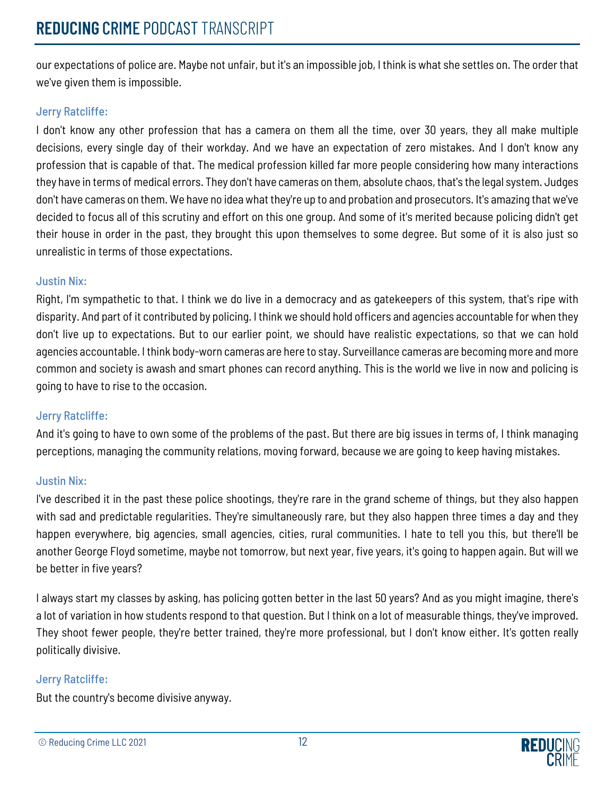our expectations of police are. Maybe not unfair, but it's an impossible job, I think is what she settles on. The order that we've given them is impossible.

## Jerry Ratcliffe:

I don't know any other profession that has a camera on them all the time, over 30 years, they all make multiple decisions, every single day of their workday. And we have an expectation of zero mistakes. And I don't know any profession that is capable of that. The medical profession killed far more people considering how many interactions they have in terms of medical errors. They don't have cameras on them, absolute chaos, that's the legal system. Judges don't have cameras on them. We have no idea what they're up to and probation and prosecutors. It's amazing that we've decided to focus all of this scrutiny and effort on this one group. And some of it's merited because policing didn't get their house in order in the past, they brought this upon themselves to some degree. But some of it is also just so unrealistic in terms of those expectations.

## Justin Nix:

Right, I'm sympathetic to that. I think we do live in a democracy and as gatekeepers of this system, that's ripe with disparity. And part of it contributed by policing. I think we should hold officers and agencies accountable for when they don't live up to expectations. But to our earlier point, we should have realistic expectations, so that we can hold agencies accountable. I think body-worn cameras are here to stay. Surveillance cameras are becoming more and more common and society is awash and smart phones can record anything. This is the world we live in now and policing is going to have to rise to the occasion.

## Jerry Ratcliffe:

And it's going to have to own some of the problems of the past. But there are big issues in terms of, I think managing perceptions, managing the community relations, moving forward, because we are going to keep having mistakes.

## Justin Nix:

I've described it in the past these police shootings, they're rare in the grand scheme of things, but they also happen with sad and predictable regularities. They're simultaneously rare, but they also happen three times a day and they happen everywhere, big agencies, small agencies, cities, rural communities. I hate to tell you this, but there'll be another George Floyd sometime, maybe not tomorrow, but next year, five years, it's going to happen again. But will we be better in five years?

I always start my classes by asking, has policing gotten better in the last 50 years? And as you might imagine, there's a lot of variation in how students respond to that question. But I think on a lot of measurable things, they've improved. They shoot fewer people, they're better trained, they're more professional, but I don't know either. It's gotten really politically divisive.

## Jerry Ratcliffe:

But the country's become divisive anyway.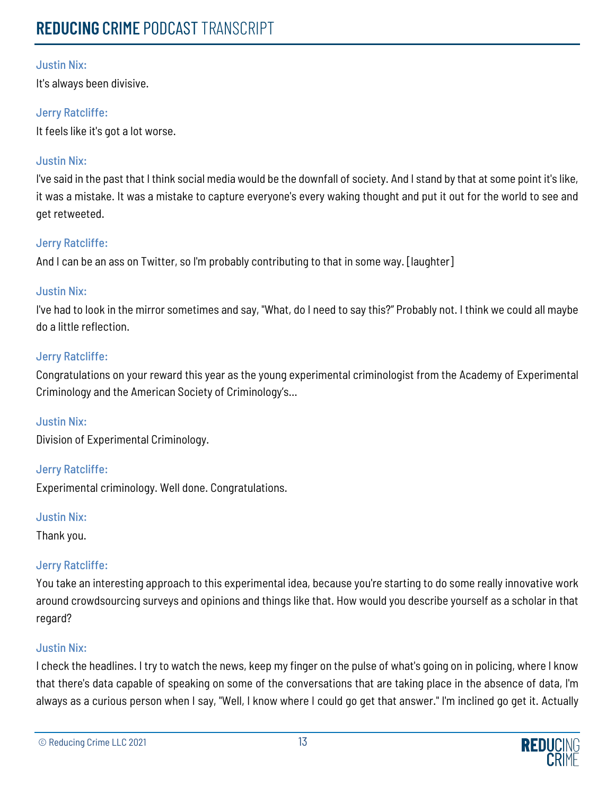It's always been divisive.

## Jerry Ratcliffe:

It feels like it's got a lot worse.

## Justin Nix:

I've said in the past that I think social media would be the downfall of society. And I stand by that at some point it's like, it was a mistake. It was a mistake to capture everyone's every waking thought and put it out for the world to see and get retweeted.

## Jerry Ratcliffe:

And I can be an ass on Twitter, so I'm probably contributing to that in some way. [laughter]

## Justin Nix:

I've had to look in the mirror sometimes and say, "What, do I need to say this?" Probably not. I think we could all maybe do a little reflection.

#### Jerry Ratcliffe:

Congratulations on your reward this year as the young experimental criminologist from the Academy of Experimental Criminology and the American Society of Criminology's…

#### Justin Nix:

Division of Experimental Criminology.

#### Jerry Ratcliffe:

Experimental criminology. Well done. Congratulations.

#### Justin Nix:

Thank you.

## Jerry Ratcliffe:

You take an interesting approach to this experimental idea, because you're starting to do some really innovative work around crowdsourcing surveys and opinions and things like that. How would you describe yourself as a scholar in that regard?

#### Justin Nix:

I check the headlines. I try to watch the news, keep my finger on the pulse of what's going on in policing, where I know that there's data capable of speaking on some of the conversations that are taking place in the absence of data, I'm always as a curious person when I say, "Well, I know where I could go get that answer." I'm inclined go get it. Actually

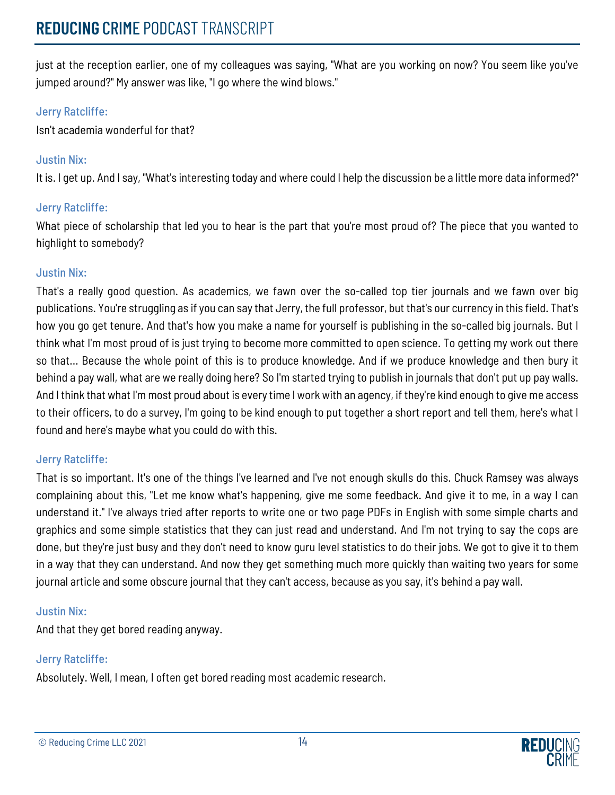just at the reception earlier, one of my colleagues was saying, "What are you working on now? You seem like you've jumped around?" My answer was like, "I go where the wind blows."

## Jerry Ratcliffe:

Isn't academia wonderful for that?

## Justin Nix:

It is. I get up. And I say, "What's interesting today and where could I help the discussion be a little more data informed?"

## Jerry Ratcliffe:

What piece of scholarship that led you to hear is the part that you're most proud of? The piece that you wanted to highlight to somebody?

## Justin Nix:

That's a really good question. As academics, we fawn over the so-called top tier journals and we fawn over big publications. You're struggling as if you can say that Jerry, the full professor, but that's our currency in this field. That's how you go get tenure. And that's how you make a name for yourself is publishing in the so-called big journals. But I think what I'm most proud of is just trying to become more committed to open science. To getting my work out there so that... Because the whole point of this is to produce knowledge. And if we produce knowledge and then bury it behind a pay wall, what are we really doing here? So I'm started trying to publish in journals that don't put up pay walls. And I think that what I'm most proud about is every time I work with an agency, if they're kind enough to give me access to their officers, to do a survey, I'm going to be kind enough to put together a short report and tell them, here's what I found and here's maybe what you could do with this.

## Jerry Ratcliffe:

That is so important. It's one of the things I've learned and I've not enough skulls do this. Chuck Ramsey was always complaining about this, "Let me know what's happening, give me some feedback. And give it to me, in a way I can understand it." I've always tried after reports to write one or two page PDFs in English with some simple charts and graphics and some simple statistics that they can just read and understand. And I'm not trying to say the cops are done, but they're just busy and they don't need to know guru level statistics to do their jobs. We got to give it to them in a way that they can understand. And now they get something much more quickly than waiting two years for some journal article and some obscure journal that they can't access, because as you say, it's behind a pay wall.

## Justin Nix:

And that they get bored reading anyway.

## Jerry Ratcliffe:

Absolutely. Well, I mean, I often get bored reading most academic research.

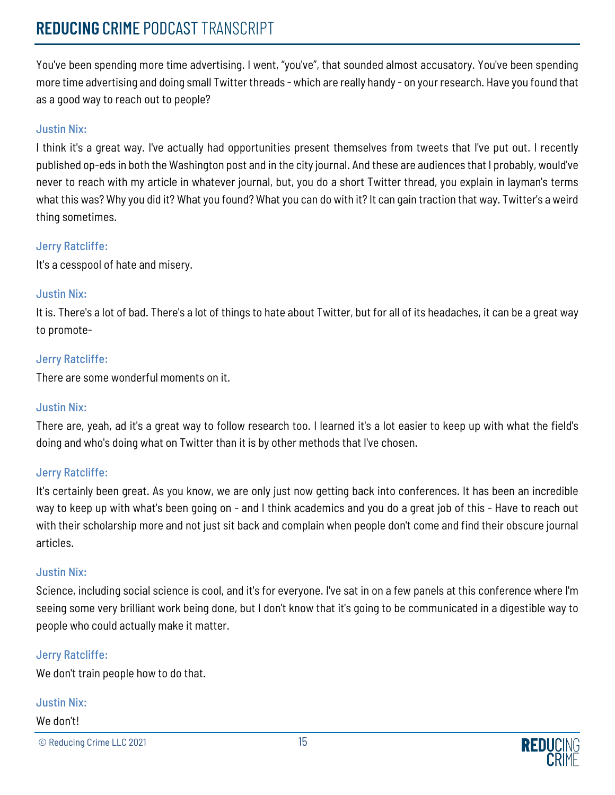## **REDUCING** CRIME PODCAST TRANSCRIPT

You've been spending more time advertising. I went, "you've", that sounded almost accusatory. You've been spending more time advertising and doing small Twitter threads - which are really handy - on your research. Have you found that as a good way to reach out to people?

#### Justin Nix:

I think it's a great way. I've actually had opportunities present themselves from tweets that I've put out. I recently published op-eds in both the Washington post and in the city journal. And these are audiences that I probably, would've never to reach with my article in whatever journal, but, you do a short Twitter thread, you explain in layman's terms what this was? Why you did it? What you found? What you can do with it? It can gain traction that way. Twitter's a weird thing sometimes.

#### Jerry Ratcliffe:

It's a cesspool of hate and misery.

## Justin Nix:

It is. There's a lot of bad. There's a lot of things to hate about Twitter, but for all of its headaches, it can be a great way to promote-

## Jerry Ratcliffe:

There are some wonderful moments on it.

## Justin Nix:

There are, yeah, ad it's a great way to follow research too. I learned it's a lot easier to keep up with what the field's doing and who's doing what on Twitter than it is by other methods that I've chosen.

## Jerry Ratcliffe:

It's certainly been great. As you know, we are only just now getting back into conferences. It has been an incredible way to keep up with what's been going on - and I think academics and you do a great job of this - Have to reach out with their scholarship more and not just sit back and complain when people don't come and find their obscure journal articles.

#### Justin Nix:

Science, including social science is cool, and it's for everyone. I've sat in on a few panels at this conference where I'm seeing some very brilliant work being done, but I don't know that it's going to be communicated in a digestible way to people who could actually make it matter.

#### Jerry Ratcliffe:

We don't train people how to do that.

#### Justin Nix:

#### We don't!

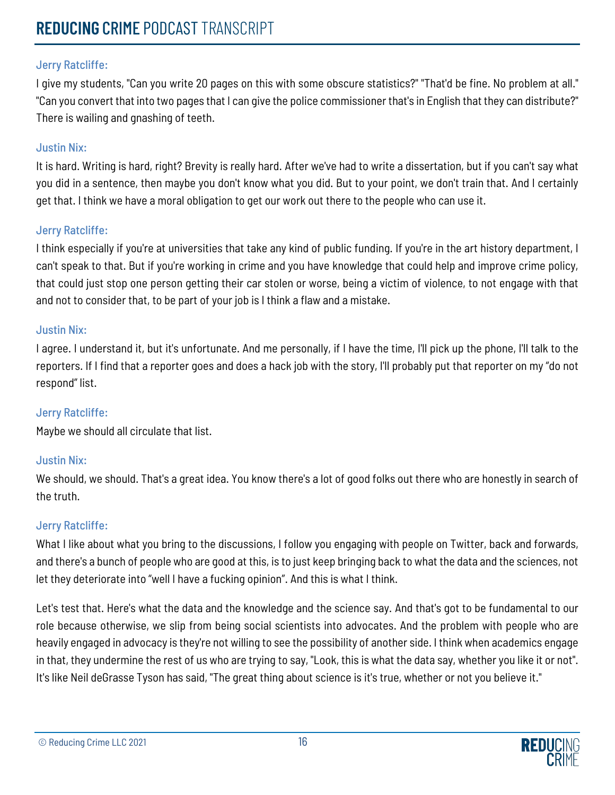I give my students, "Can you write 20 pages on this with some obscure statistics?" "That'd be fine. No problem at all." "Can you convert that into two pages that I can give the police commissioner that's in English that they can distribute?" There is wailing and gnashing of teeth.

## Justin Nix:

It is hard. Writing is hard, right? Brevity is really hard. After we've had to write a dissertation, but if you can't say what you did in a sentence, then maybe you don't know what you did. But to your point, we don't train that. And I certainly get that. I think we have a moral obligation to get our work out there to the people who can use it.

## Jerry Ratcliffe:

I think especially if you're at universities that take any kind of public funding. If you're in the art history department, I can't speak to that. But if you're working in crime and you have knowledge that could help and improve crime policy, that could just stop one person getting their car stolen or worse, being a victim of violence, to not engage with that and not to consider that, to be part of your job is I think a flaw and a mistake.

#### Justin Nix:

I agree. I understand it, but it's unfortunate. And me personally, if I have the time, I'll pick up the phone, I'll talk to the reporters. If I find that a reporter goes and does a hack job with the story, I'll probably put that reporter on my "do not respond" list.

## Jerry Ratcliffe:

Maybe we should all circulate that list.

## Justin Nix:

We should, we should. That's a great idea. You know there's a lot of good folks out there who are honestly in search of the truth.

## Jerry Ratcliffe:

What I like about what you bring to the discussions, I follow you engaging with people on Twitter, back and forwards, and there's a bunch of people who are good at this, is to just keep bringing back to what the data and the sciences, not let they deteriorate into "well I have a fucking opinion". And this is what I think.

Let's test that. Here's what the data and the knowledge and the science say. And that's got to be fundamental to our role because otherwise, we slip from being social scientists into advocates. And the problem with people who are heavily engaged in advocacy is they're not willing to see the possibility of another side. I think when academics engage in that, they undermine the rest of us who are trying to say, "Look, this is what the data say, whether you like it or not". It's like Neil deGrasse Tyson has said, "The great thing about science is it's true, whether or not you believe it."

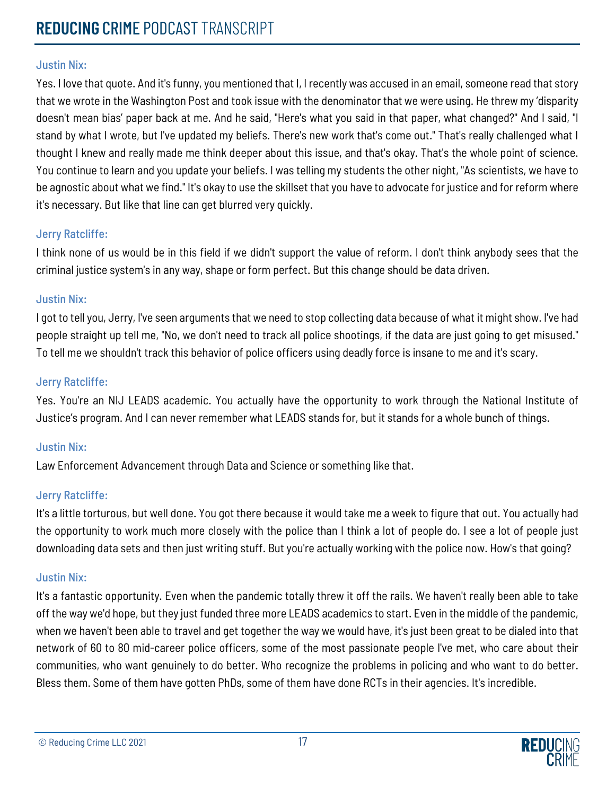Yes. I love that quote. And it's funny, you mentioned that I, I recently was accused in an email, someone read that story that we wrote in the Washington Post and took issue with the denominator that we were using. He threw my 'disparity doesn't mean bias' paper back at me. And he said, "Here's what you said in that paper, what changed?" And I said, "I stand by what I wrote, but I've updated my beliefs. There's new work that's come out." That's really challenged what I thought I knew and really made me think deeper about this issue, and that's okay. That's the whole point of science. You continue to learn and you update your beliefs. I was telling my students the other night, "As scientists, we have to be agnostic about what we find." It's okay to use the skillset that you have to advocate for justice and for reform where it's necessary. But like that line can get blurred very quickly.

#### Jerry Ratcliffe:

I think none of us would be in this field if we didn't support the value of reform. I don't think anybody sees that the criminal justice system's in any way, shape or form perfect. But this change should be data driven.

#### Justin Nix:

I got to tell you, Jerry, I've seen arguments that we need to stop collecting data because of what it might show. I've had people straight up tell me, "No, we don't need to track all police shootings, if the data are just going to get misused." To tell me we shouldn't track this behavior of police officers using deadly force is insane to me and it's scary.

#### Jerry Ratcliffe:

Yes. You're an NIJ LEADS academic. You actually have the opportunity to work through the National Institute of Justice's program. And I can never remember what LEADS stands for, but it stands for a whole bunch of things.

## Justin Nix:

Law Enforcement Advancement through Data and Science or something like that.

## Jerry Ratcliffe:

It's a little torturous, but well done. You got there because it would take me a week to figure that out. You actually had the opportunity to work much more closely with the police than I think a lot of people do. I see a lot of people just downloading data sets and then just writing stuff. But you're actually working with the police now. How's that going?

#### Justin Nix:

It's a fantastic opportunity. Even when the pandemic totally threw it off the rails. We haven't really been able to take off the way we'd hope, but they just funded three more LEADS academics to start. Even in the middle of the pandemic, when we haven't been able to travel and get together the way we would have, it's just been great to be dialed into that network of 60 to 80 mid-career police officers, some of the most passionate people I've met, who care about their communities, who want genuinely to do better. Who recognize the problems in policing and who want to do better. Bless them. Some of them have gotten PhDs, some of them have done RCTs in their agencies. It's incredible.

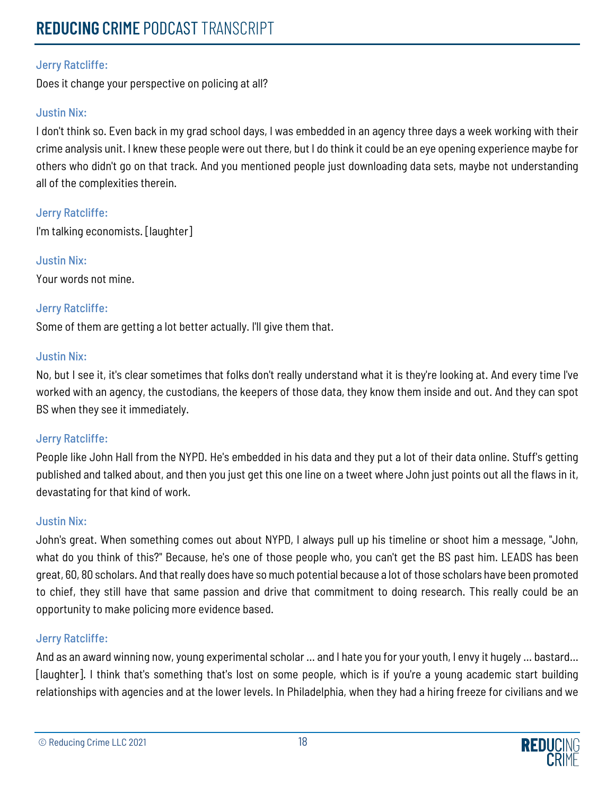# **REDUCING** CRIME PODCAST TRANSCRIPT

## Jerry Ratcliffe:

Does it change your perspective on policing at all?

## Justin Nix:

I don't think so. Even back in my grad school days, I was embedded in an agency three days a week working with their crime analysis unit. I knew these people were out there, but I do think it could be an eye opening experience maybe for others who didn't go on that track. And you mentioned people just downloading data sets, maybe not understanding all of the complexities therein.

## Jerry Ratcliffe:

I'm talking economists. [laughter]

## Justin Nix: Your words not mine.

## Jerry Ratcliffe:

Some of them are getting a lot better actually. I'll give them that.

## Justin Nix:

No, but I see it, it's clear sometimes that folks don't really understand what it is they're looking at. And every time I've worked with an agency, the custodians, the keepers of those data, they know them inside and out. And they can spot BS when they see it immediately.

## Jerry Ratcliffe:

People like John Hall from the NYPD. He's embedded in his data and they put a lot of their data online. Stuff's getting published and talked about, and then you just get this one line on a tweet where John just points out all the flaws in it, devastating for that kind of work.

## Justin Nix:

John's great. When something comes out about NYPD, I always pull up his timeline or shoot him a message, "John, what do you think of this?" Because, he's one of those people who, you can't get the BS past him. LEADS has been great, 60, 80 scholars. And that really does have so much potential because a lot of those scholars have been promoted to chief, they still have that same passion and drive that commitment to doing research. This really could be an opportunity to make policing more evidence based.

## Jerry Ratcliffe:

And as an award winning now, young experimental scholar … and I hate you for your youth, I envy it hugely … bastard… [laughter]. I think that's something that's lost on some people, which is if you're a young academic start building relationships with agencies and at the lower levels. In Philadelphia, when they had a hiring freeze for civilians and we

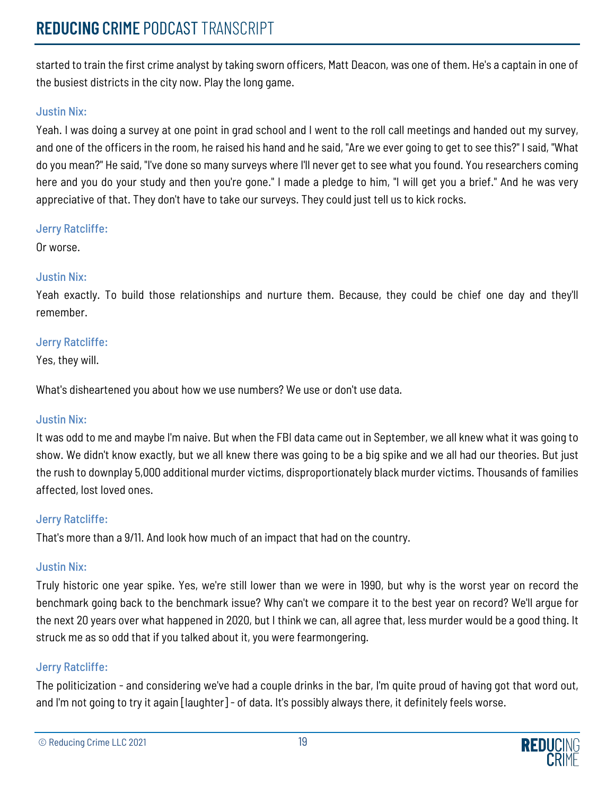started to train the first crime analyst by taking sworn officers, Matt Deacon, was one of them. He's a captain in one of the busiest districts in the city now. Play the long game.

### Justin Nix:

Yeah. I was doing a survey at one point in grad school and I went to the roll call meetings and handed out my survey, and one of the officers in the room, he raised his hand and he said, "Are we ever going to get to see this?" I said, "What do you mean?" He said, "I've done so many surveys where I'll never get to see what you found. You researchers coming here and you do your study and then you're gone." I made a pledge to him, "I will get you a brief." And he was very appreciative of that. They don't have to take our surveys. They could just tell us to kick rocks.

#### Jerry Ratcliffe:

Or worse.

#### Justin Nix:

Yeah exactly. To build those relationships and nurture them. Because, they could be chief one day and they'll remember.

## Jerry Ratcliffe:

Yes, they will.

What's disheartened you about how we use numbers? We use or don't use data.

#### Justin Nix:

It was odd to me and maybe I'm naive. But when the FBI data came out in September, we all knew what it was going to show. We didn't know exactly, but we all knew there was going to be a big spike and we all had our theories. But just the rush to downplay 5,000 additional murder victims, disproportionately black murder victims. Thousands of families affected, lost loved ones.

## Jerry Ratcliffe:

That's more than a 9/11. And look how much of an impact that had on the country.

## Justin Nix:

Truly historic one year spike. Yes, we're still lower than we were in 1990, but why is the worst year on record the benchmark going back to the benchmark issue? Why can't we compare it to the best year on record? We'll argue for the next 20 years over what happened in 2020, but I think we can, all agree that, less murder would be a good thing. It struck me as so odd that if you talked about it, you were fearmongering.

#### Jerry Ratcliffe:

The politicization - and considering we've had a couple drinks in the bar, I'm quite proud of having got that word out, and I'm not going to try it again [laughter] - of data. It's possibly always there, it definitely feels worse.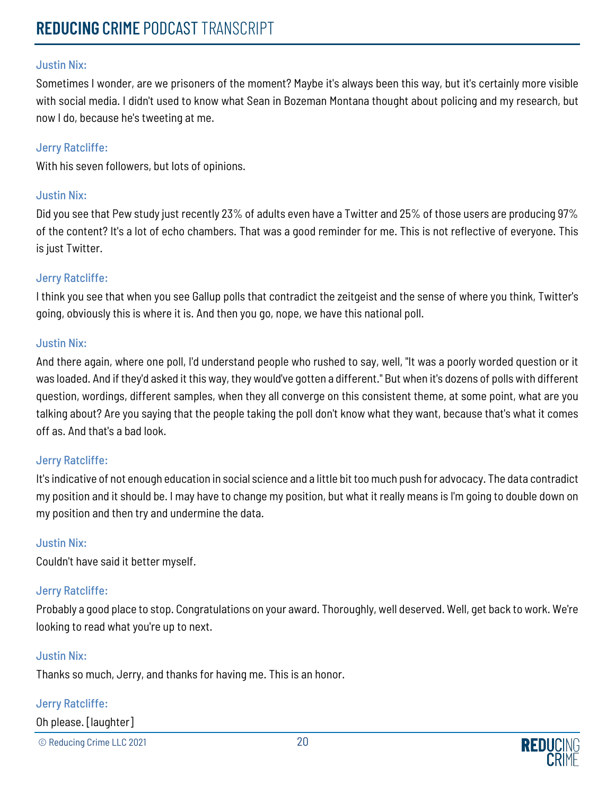Sometimes I wonder, are we prisoners of the moment? Maybe it's always been this way, but it's certainly more visible with social media. I didn't used to know what Sean in Bozeman Montana thought about policing and my research, but now I do, because he's tweeting at me.

#### Jerry Ratcliffe:

With his seven followers, but lots of opinions.

#### Justin Nix:

Did you see that Pew study just recently 23% of adults even have a Twitter and 25% of those users are producing 97% of the content? It's a lot of echo chambers. That was a good reminder for me. This is not reflective of everyone. This is just Twitter.

#### Jerry Ratcliffe:

I think you see that when you see Gallup polls that contradict the zeitgeist and the sense of where you think, Twitter's going, obviously this is where it is. And then you go, nope, we have this national poll.

#### Justin Nix:

And there again, where one poll, I'd understand people who rushed to say, well, "It was a poorly worded question or it was loaded. And if they'd asked it this way, they would've gotten a different." But when it's dozens of polls with different question, wordings, different samples, when they all converge on this consistent theme, at some point, what are you talking about? Are you saying that the people taking the poll don't know what they want, because that's what it comes off as. And that's a bad look.

#### Jerry Ratcliffe:

It's indicative of not enough education in social science and a little bit too much push for advocacy. The data contradict my position and it should be. I may have to change my position, but what it really means is I'm going to double down on my position and then try and undermine the data.

#### Justin Nix:

Couldn't have said it better myself.

#### Jerry Ratcliffe:

Probably a good place to stop. Congratulations on your award. Thoroughly, well deserved. Well, get back to work. We're looking to read what you're up to next.

#### Justin Nix:

Thanks so much, Jerry, and thanks for having me. This is an honor.

## Jerry Ratcliffe:

Oh please. [laughter]